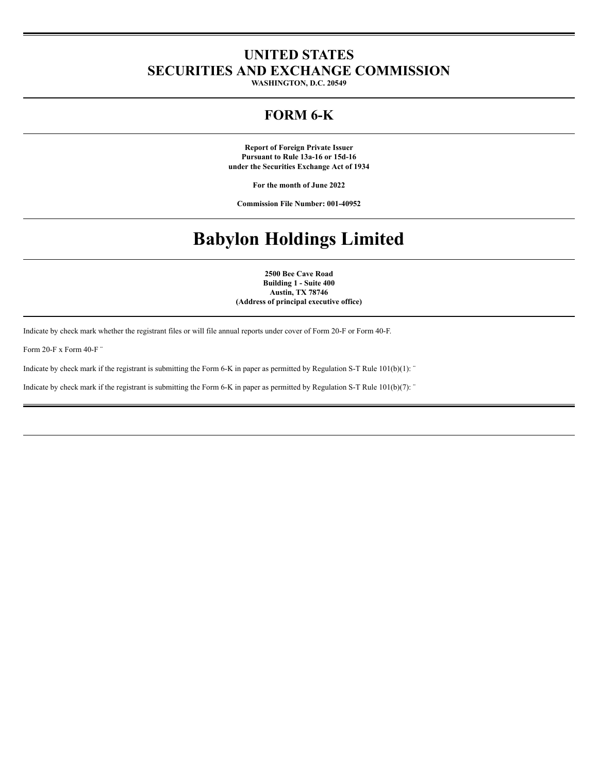# **UNITED STATES SECURITIES AND EXCHANGE COMMISSION**

**WASHINGTON, D.C. 20549**

# **FORM 6-K**

**Report of Foreign Private Issuer Pursuant to Rule 13a-16 or 15d-16 under the Securities Exchange Act of 1934**

**For the month of June 2022**

**Commission File Number: 001-40952**

# **Babylon Holdings Limited**

**2500 Bee Cave Road Building 1 - Suite 400 Austin, TX 78746 (Address of principal executive office)**

Indicate by check mark whether the registrant files or will file annual reports under cover of Form 20-F or Form 40-F.

Form 20-F x Form 40-F ¨

Indicate by check mark if the registrant is submitting the Form 6-K in paper as permitted by Regulation S-T Rule  $101(b)(1)$ :

Indicate by check mark if the registrant is submitting the Form 6-K in paper as permitted by Regulation S-T Rule 101(b)(7): "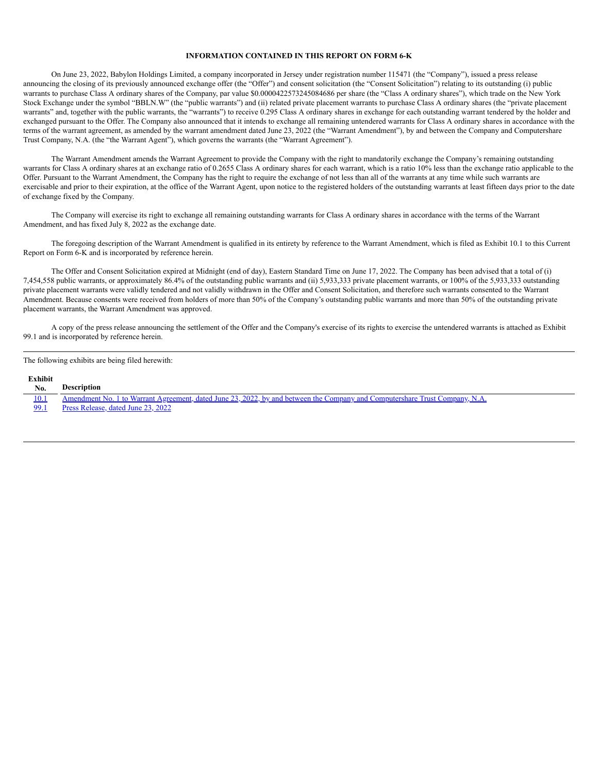# **INFORMATION CONTAINED IN THIS REPORT ON FORM 6-K**

On June 23, 2022, Babylon Holdings Limited, a company incorporated in Jersey under registration number 115471 (the "Company"), issued a press release announcing the closing of its previously announced exchange offer (the "Offer") and consent solicitation (the "Consent Solicitation") relating to its outstanding (i) public warrants to purchase Class A ordinary shares of the Company, par value \$0.0000422573245084686 per share (the "Class A ordinary shares"), which trade on the New York Stock Exchange under the symbol "BBLN.W" (the "public warrants") and (ii) related private placement warrants to purchase Class A ordinary shares (the "private placement warrants" and, together with the public warrants, the "warrants") to receive 0.295 Class A ordinary shares in exchange for each outstanding warrant tendered by the holder and exchanged pursuant to the Offer. The Company also announced that it intends to exchange all remaining untendered warrants for Class A ordinary shares in accordance with the terms of the warrant agreement, as amended by the warrant amendment dated June 23, 2022 (the "Warrant Amendment"), by and between the Company and Computershare Trust Company, N.A. (the "the Warrant Agent"), which governs the warrants (the "Warrant Agreement").

The Warrant Amendment amends the Warrant Agreement to provide the Company with the right to mandatorily exchange the Company's remaining outstanding warrants for Class A ordinary shares at an exchange ratio of 0.2655 Class A ordinary shares for each warrant, which is a ratio 10% less than the exchange ratio applicable to the Offer. Pursuant to the Warrant Amendment, the Company has the right to require the exchange of not less than all of the warrants at any time while such warrants are exercisable and prior to their expiration, at the office of the Warrant Agent, upon notice to the registered holders of the outstanding warrants at least fifteen days prior to the date of exchange fixed by the Company.

The Company will exercise its right to exchange all remaining outstanding warrants for Class A ordinary shares in accordance with the terms of the Warrant Amendment, and has fixed July 8, 2022 as the exchange date.

The foregoing description of the Warrant Amendment is qualified in its entirety by reference to the Warrant Amendment, which is filed as Exhibit 10.1 to this Current Report on Form 6-K and is incorporated by reference herein.

The Offer and Consent Solicitation expired at Midnight (end of day), Eastern Standard Time on June 17, 2022. The Company has been advised that a total of (i) 7,454,558 public warrants, or approximately 86.4% of the outstanding public warrants and (ii) 5,933,333 private placement warrants, or 100% of the 5,933,333 outstanding private placement warrants were validly tendered and not validly withdrawn in the Offer and Consent Solicitation, and therefore such warrants consented to the Warrant Amendment. Because consents were received from holders of more than 50% of the Company's outstanding public warrants and more than 50% of the outstanding private placement warrants, the Warrant Amendment was approved.

A copy of the press release announcing the settlement of the Offer and the Company's exercise of its rights to exercise the untendered warrants is attached as Exhibit 99.1 and is incorporated by reference herein.

The following exhibits are being filed herewith:

| <b>Exhibit</b> | <b>Description</b>                                                                                                                 |
|----------------|------------------------------------------------------------------------------------------------------------------------------------|
| No.            |                                                                                                                                    |
|                | <u>Amendment No. 1 to Warrant Agreement, dated June 23, 2022, by and between the Company and Computershare Trust Company, N.A.</u> |
| 99.1           | Press Release, dated June 23, 2022                                                                                                 |
|                |                                                                                                                                    |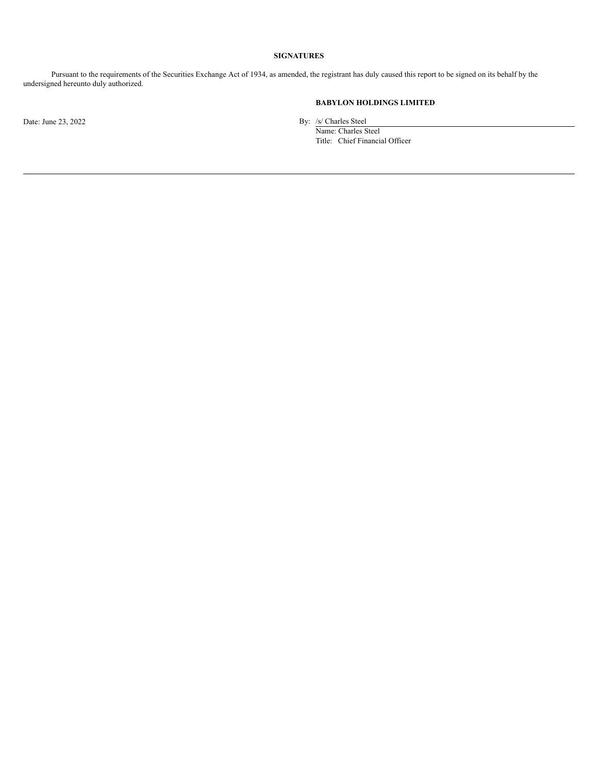# **SIGNATURES**

Pursuant to the requirements of the Securities Exchange Act of 1934, as amended, the registrant has duly caused this report to be signed on its behalf by the undersigned hereunto duly authorized.

# **BABYLON HOLDINGS LIMITED**

Date: June 23, 2022 By: /s/ Charles Steel

Name: Charles Steel Title: Chief Financial Officer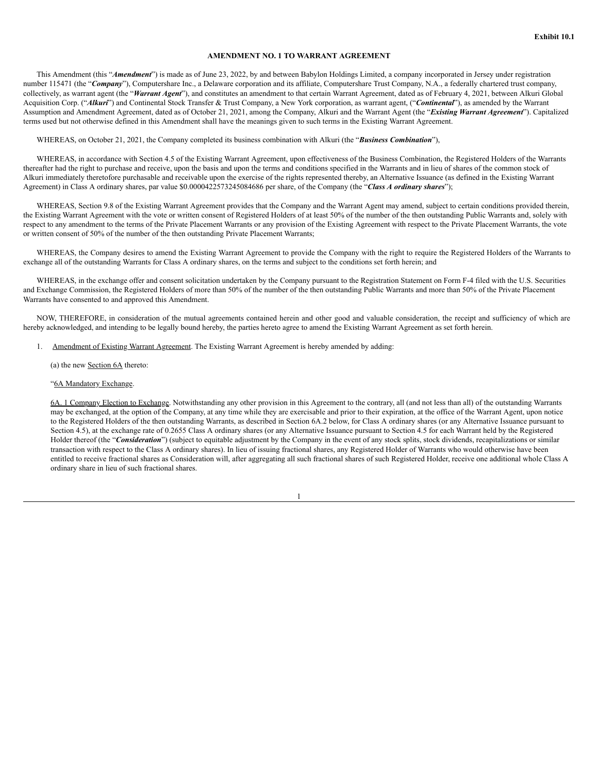#### **AMENDMENT NO. 1 TO WARRANT AGREEMENT**

This Amendment (this "*Amendment*") is made as of June 23, 2022, by and between Babylon Holdings Limited, a company incorporated in Jersey under registration number 115471 (the "*Company*"), Computershare Inc., a Delaware corporation and its affiliate, Computershare Trust Company, N.A., a federally chartered trust company, collectively, as warrant agent (the "*Warrant Agent*"), and constitutes an amendment to that certain Warrant Agreement, dated as of February 4, 2021, between Alkuri Global Acquisition Corp. ("*Alkuri*") and Continental Stock Transfer & Trust Company, a New York corporation, as warrant agent, ("*Continental*"), as amended by the Warrant Assumption and Amendment Agreement, dated as of October 21, 2021, among the Company, Alkuri and the Warrant Agent (the "*Existing Warrant Agreement*"). Capitalized terms used but not otherwise defined in this Amendment shall have the meanings given to such terms in the Existing Warrant Agreement.

WHEREAS, on October 21, 2021, the Company completed its business combination with Alkuri (the "*Business Combination*"),

WHEREAS, in accordance with Section 4.5 of the Existing Warrant Agreement, upon effectiveness of the Business Combination, the Registered Holders of the Warrants thereafter had the right to purchase and receive, upon the basis and upon the terms and conditions specified in the Warrants and in lieu of shares of the common stock of Alkuri immediately theretofore purchasable and receivable upon the exercise of the rights represented thereby, an Alternative Issuance (as defined in the Existing Warrant Agreement) in Class A ordinary shares, par value \$0.0000422573245084686 per share, of the Company (the "*Class A ordinary shares*");

WHEREAS, Section 9.8 of the Existing Warrant Agreement provides that the Company and the Warrant Agent may amend, subject to certain conditions provided therein, the Existing Warrant Agreement with the vote or written consent of Registered Holders of at least 50% of the number of the then outstanding Public Warrants and, solely with respect to any amendment to the terms of the Private Placement Warrants or any provision of the Existing Agreement with respect to the Private Placement Warrants, the vote or written consent of 50% of the number of the then outstanding Private Placement Warrants;

WHEREAS, the Company desires to amend the Existing Warrant Agreement to provide the Company with the right to require the Registered Holders of the Warrants to exchange all of the outstanding Warrants for Class A ordinary shares, on the terms and subject to the conditions set forth herein; and

WHEREAS, in the exchange offer and consent solicitation undertaken by the Company pursuant to the Registration Statement on Form F-4 filed with the U.S. Securities and Exchange Commission, the Registered Holders of more than 50% of the number of the then outstanding Public Warrants and more than 50% of the Private Placement Warrants have consented to and approved this Amendment.

NOW, THEREFORE, in consideration of the mutual agreements contained herein and other good and valuable consideration, the receipt and sufficiency of which are hereby acknowledged, and intending to be legally bound hereby, the parties hereto agree to amend the Existing Warrant Agreement as set forth herein.

- 1. Amendment of Existing Warrant Agreement. The Existing Warrant Agreement is hereby amended by adding:
	- (a) the new Section 6A thereto:
	- "6A Mandatory Exchange.

6A. 1 Company Election to Exchange. Notwithstanding any other provision in this Agreement to the contrary, all (and not less than all) of the outstanding Warrants may be exchanged, at the option of the Company, at any time while they are exercisable and prior to their expiration, at the office of the Warrant Agent, upon notice to the Registered Holders of the then outstanding Warrants, as described in Section 6A.2 below, for Class A ordinary shares (or any Alternative Issuance pursuant to Section 4.5), at the exchange rate of 0.2655 Class A ordinary shares (or any Alternative Issuance pursuant to Section 4.5 for each Warrant held by the Registered Holder thereof (the "Consideration") (subject to equitable adjustment by the Company in the event of any stock splits, stock dividends, recapitalizations or similar transaction with respect to the Class A ordinary shares). In lieu of issuing fractional shares, any Registered Holder of Warrants who would otherwise have been entitled to receive fractional shares as Consideration will, after aggregating all such fractional shares of such Registered Holder, receive one additional whole Class A ordinary share in lieu of such fractional shares.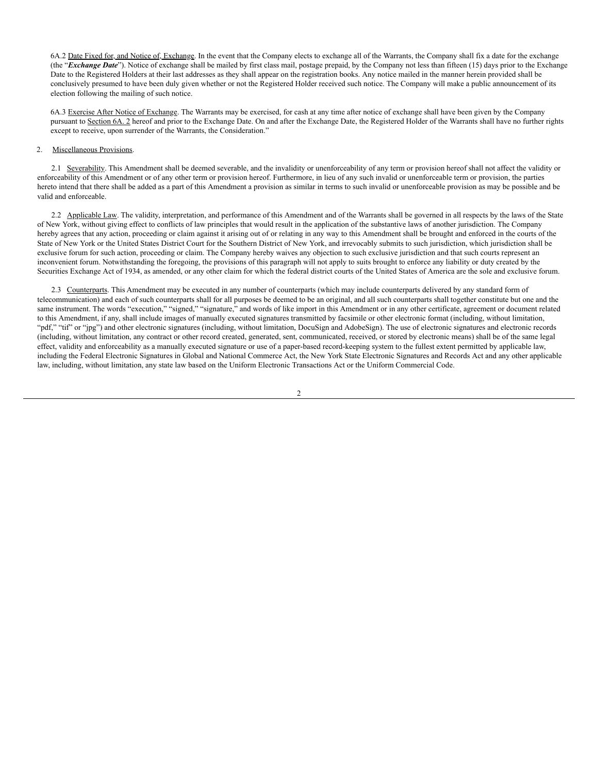6A.2 Date Fixed for, and Notice of, Exchange. In the event that the Company elects to exchange all of the Warrants, the Company shall fix a date for the exchange (the "*Exchange Date*"). Notice of exchange shall be mailed by first class mail, postage prepaid, by the Company not less than fifteen (15) days prior to the Exchange Date to the Registered Holders at their last addresses as they shall appear on the registration books. Any notice mailed in the manner herein provided shall be conclusively presumed to have been duly given whether or not the Registered Holder received such notice. The Company will make a public announcement of its election following the mailing of such notice.

6A.3 Exercise After Notice of Exchange. The Warrants may be exercised, for cash at any time after notice of exchange shall have been given by the Company pursuant to Section 6A. 2 hereof and prior to the Exchange Date. On and after the Exchange Date, the Registered Holder of the Warrants shall have no further rights except to receive, upon surrender of the Warrants, the Consideration."

#### Miscellaneous Provisions.

2.1 Severability. This Amendment shall be deemed severable, and the invalidity or unenforceability of any term or provision hereof shall not affect the validity or enforceability of this Amendment or of any other term or provision hereof. Furthermore, in lieu of any such invalid or unenforceable term or provision, the parties hereto intend that there shall be added as a part of this Amendment a provision as similar in terms to such invalid or unenforceable provision as may be possible and be valid and enforceable.

2.2 Applicable Law. The validity, interpretation, and performance of this Amendment and of the Warrants shall be governed in all respects by the laws of the State of New York, without giving effect to conflicts of law principles that would result in the application of the substantive laws of another jurisdiction. The Company hereby agrees that any action, proceeding or claim against it arising out of or relating in any way to this Amendment shall be brought and enforced in the courts of the State of New York or the United States District Court for the Southern District of New York, and irrevocably submits to such jurisdiction, which jurisdiction shall be exclusive forum for such action, proceeding or claim. The Company hereby waives any objection to such exclusive jurisdiction and that such courts represent an inconvenient forum. Notwithstanding the foregoing, the provisions of this paragraph will not apply to suits brought to enforce any liability or duty created by the Securities Exchange Act of 1934, as amended, or any other claim for which the federal district courts of the United States of America are the sole and exclusive forum.

2.3 Counterparts. This Amendment may be executed in any number of counterparts (which may include counterparts delivered by any standard form of telecommunication) and each of such counterparts shall for all purposes be deemed to be an original, and all such counterparts shall together constitute but one and the same instrument. The words "execution," "signed," "signature," and words of like import in this Amendment or in any other certificate, agreement or document related to this Amendment, if any, shall include images of manually executed signatures transmitted by facsimile or other electronic format (including, without limitation, "pdf," "tif" or "jpg") and other electronic signatures (including, without limitation, DocuSign and AdobeSign). The use of electronic signatures and electronic records (including, without limitation, any contract or other record created, generated, sent, communicated, received, or stored by electronic means) shall be of the same legal effect, validity and enforceability as a manually executed signature or use of a paper-based record-keeping system to the fullest extent permitted by applicable law, including the Federal Electronic Signatures in Global and National Commerce Act, the New York State Electronic Signatures and Records Act and any other applicable law, including, without limitation, any state law based on the Uniform Electronic Transactions Act or the Uniform Commercial Code.

2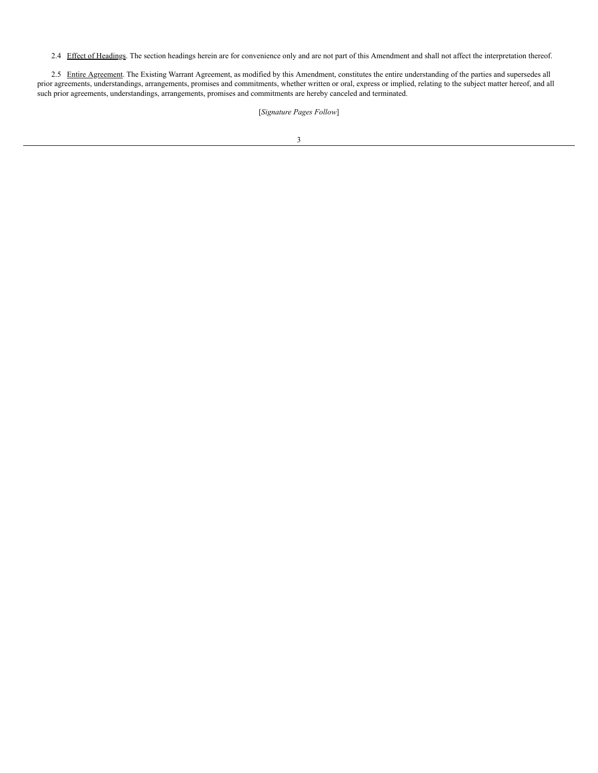2.4 Effect of Headings. The section headings herein are for convenience only and are not part of this Amendment and shall not affect the interpretation thereof.

2.5 Entire Agreement. The Existing Warrant Agreement, as modified by this Amendment, constitutes the entire understanding of the parties and supersedes all prior agreements, understandings, arrangements, promises and commitments, whether written or oral, express or implied, relating to the subject matter hereof, and all such prior agreements, understandings, arrangements, promises and commitments are hereby canceled and terminated.

[*Signature Pages Follow*]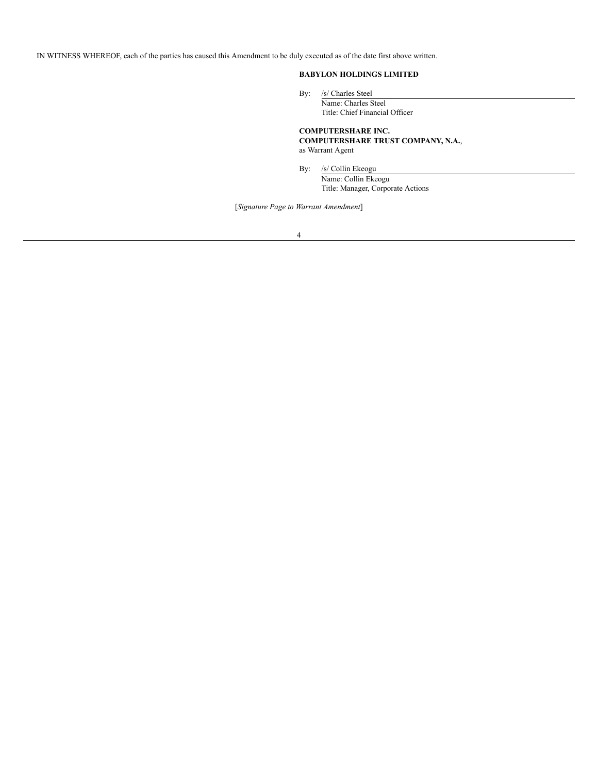IN WITNESS WHEREOF, each of the parties has caused this Amendment to be duly executed as of the date first above written.

## **BABYLON HOLDINGS LIMITED**

By: /s/ Charles Steel Name: Charles Steel Title: Chief Financial Officer

## **COMPUTERSHARE INC. COMPUTERSHARE TRUST COMPANY, N.A.**, as Warrant Agent

By: /s/ Collin Ekeogu Name: Collin Ekeogu

Title: Manager, Corporate Actions

[*Signature Page to Warrant Amendment*]

4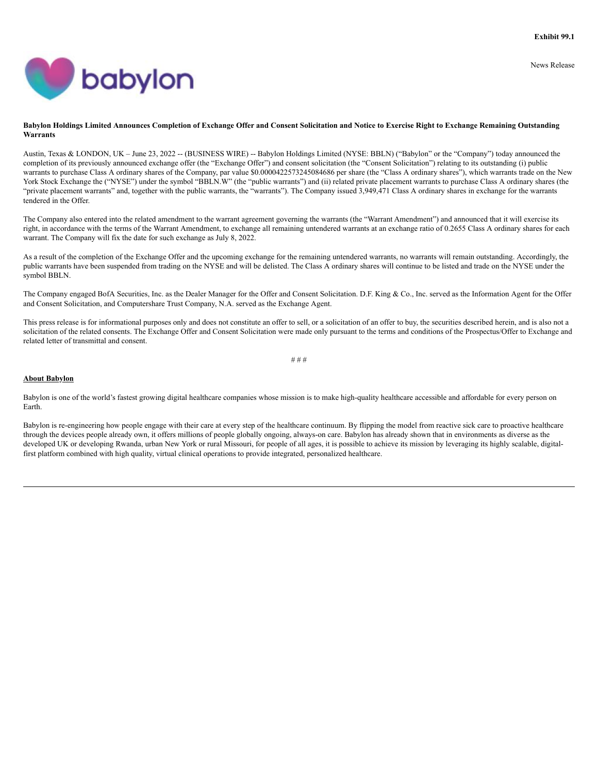

#### Babylon Holdings Limited Announces Completion of Exchange Offer and Consent Solicitation and Notice to Exercise Right to Exchange Remaining Outstanding **Warrants**

Austin, Texas & LONDON, UK – June 23, 2022 -- (BUSINESS WIRE) -- Babylon Holdings Limited (NYSE: BBLN) ("Babylon" or the "Company") today announced the completion of its previously announced exchange offer (the "Exchange Offer") and consent solicitation (the "Consent Solicitation") relating to its outstanding (i) public warrants to purchase Class A ordinary shares of the Company, par value \$0.0000422573245084686 per share (the "Class A ordinary shares"), which warrants trade on the New York Stock Exchange the ("NYSE") under the symbol "BBLN.W" (the "public warrants") and (ii) related private placement warrants to purchase Class A ordinary shares (the "private placement warrants" and, together with the public warrants, the "warrants"). The Company issued 3,949,471 Class A ordinary shares in exchange for the warrants tendered in the Offer.

The Company also entered into the related amendment to the warrant agreement governing the warrants (the "Warrant Amendment") and announced that it will exercise its right, in accordance with the terms of the Warrant Amendment, to exchange all remaining untendered warrants at an exchange ratio of 0.2655 Class A ordinary shares for each warrant. The Company will fix the date for such exchange as July 8, 2022.

As a result of the completion of the Exchange Offer and the upcoming exchange for the remaining untendered warrants, no warrants will remain outstanding. Accordingly, the public warrants have been suspended from trading on the NYSE and will be delisted. The Class A ordinary shares will continue to be listed and trade on the NYSE under the symbol BBLN.

The Company engaged BofA Securities, Inc. as the Dealer Manager for the Offer and Consent Solicitation. D.F. King & Co., Inc. served as the Information Agent for the Offer and Consent Solicitation, and Computershare Trust Company, N.A. served as the Exchange Agent.

This press release is for informational purposes only and does not constitute an offer to sell, or a solicitation of an offer to buy, the securities described herein, and is also not a solicitation of the related consents. The Exchange Offer and Consent Solicitation were made only pursuant to the terms and conditions of the Prospectus/Offer to Exchange and related letter of transmittal and consent.

```
# # #
```
#### **About Babylon**

Babylon is one of the world's fastest growing digital healthcare companies whose mission is to make high-quality healthcare accessible and affordable for every person on Earth.

Babylon is re-engineering how people engage with their care at every step of the healthcare continuum. By flipping the model from reactive sick care to proactive healthcare through the devices people already own, it offers millions of people globally ongoing, always-on care. Babylon has already shown that in environments as diverse as the developed UK or developing Rwanda, urban New York or rural Missouri, for people of all ages, it is possible to achieve its mission by leveraging its highly scalable, digitalfirst platform combined with high quality, virtual clinical operations to provide integrated, personalized healthcare.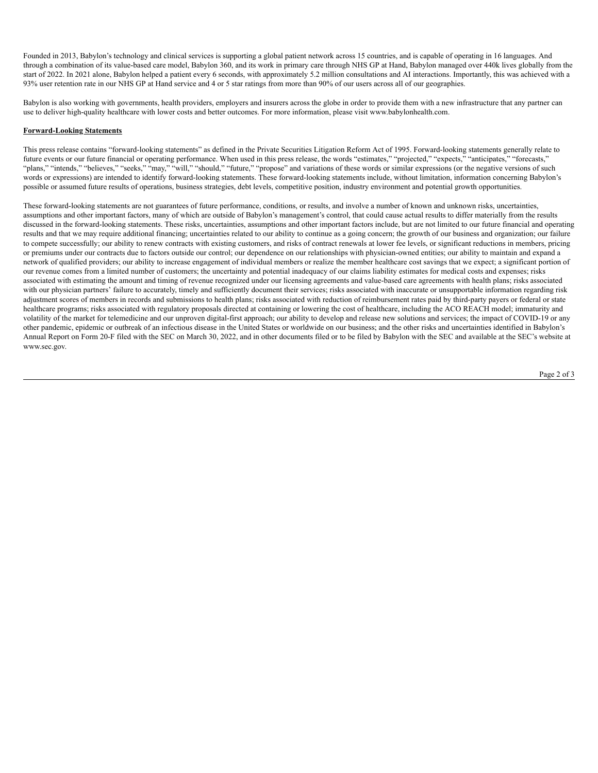Founded in 2013, Babylon's technology and clinical services is supporting a global patient network across 15 countries, and is capable of operating in 16 languages. And through a combination of its value-based care model, Babylon 360, and its work in primary care through NHS GP at Hand, Babylon managed over 440k lives globally from the start of 2022. In 2021 alone, Babylon helped a patient every 6 seconds, with approximately 5.2 million consultations and AI interactions. Importantly, this was achieved with a 93% user retention rate in our NHS GP at Hand service and 4 or 5 star ratings from more than 90% of our users across all of our geographies.

Babylon is also working with governments, health providers, employers and insurers across the globe in order to provide them with a new infrastructure that any partner can use to deliver high-quality healthcare with lower costs and better outcomes. For more information, please visit www.babylonhealth.com.

#### **Forward-Looking Statements**

This press release contains "forward-looking statements" as defined in the Private Securities Litigation Reform Act of 1995. Forward-looking statements generally relate to future events or our future financial or operating performance. When used in this press release, the words "estimates," "projected," "expects," "anticipates," "forecasts," "plans," "intends," "believes," "seeks," "may," "will," "should," "future," "propose" and variations of these words or similar expressions (or the negative versions of such words or expressions) are intended to identify forward-looking statements. These forward-looking statements include, without limitation, information concerning Babylon's possible or assumed future results of operations, business strategies, debt levels, competitive position, industry environment and potential growth opportunities.

These forward-looking statements are not guarantees of future performance, conditions, or results, and involve a number of known and unknown risks, uncertainties, assumptions and other important factors, many of which are outside of Babylon's management's control, that could cause actual results to differ materially from the results discussed in the forward-looking statements. These risks, uncertainties, assumptions and other important factors include, but are not limited to our future financial and operating results and that we may require additional financing; uncertainties related to our ability to continue as a going concern; the growth of our business and organization; our failure to compete successfully; our ability to renew contracts with existing customers, and risks of contract renewals at lower fee levels, or significant reductions in members, pricing or premiums under our contracts due to factors outside our control; our dependence on our relationships with physician-owned entities; our ability to maintain and expand a network of qualified providers; our ability to increase engagement of individual members or realize the member healthcare cost savings that we expect; a significant portion of our revenue comes from a limited number of customers; the uncertainty and potential inadequacy of our claims liability estimates for medical costs and expenses; risks associated with estimating the amount and timing of revenue recognized under our licensing agreements and value-based care agreements with health plans; risks associated with our physician partners' failure to accurately, timely and sufficiently document their services; risks associated with inaccurate or unsupportable information regarding risk adjustment scores of members in records and submissions to health plans; risks associated with reduction of reimbursement rates paid by third-party payers or federal or state healthcare programs; risks associated with regulatory proposals directed at containing or lowering the cost of healthcare, including the ACO REACH model; immaturity and volatility of the market for telemedicine and our unproven digital-first approach; our ability to develop and release new solutions and services; the impact of COVID-19 or any other pandemic, epidemic or outbreak of an infectious disease in the United States or worldwide on our business; and the other risks and uncertainties identified in Babylon's Annual Report on Form 20-F filed with the SEC on March 30, 2022, and in other documents filed or to be filed by Babylon with the SEC and available at the SEC's website at www.sec.gov.